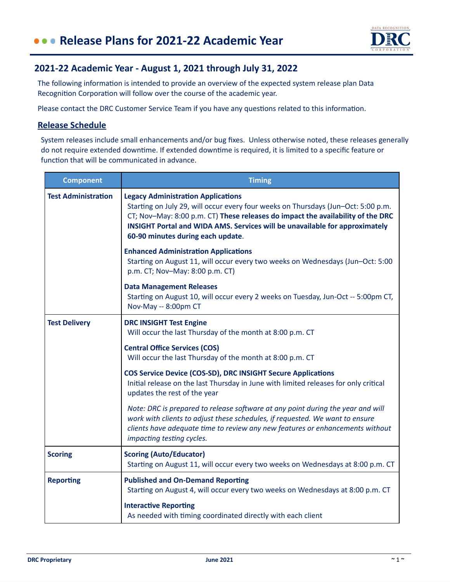

## **2021-22 Academic Year - August 1, 2021 through July 31, 2022**

The following information is intended to provide an overview of the expected system release plan Data Recognition Corporation will follow over the course of the academic year.

Please contact the DRC Customer Service Team if you have any questions related to this information.

## **Release Schedule**

System releases include small enhancements and/or bug fixes. Unless otherwise noted, these releases generally do not require extended downtime. If extended downtime is required, it is limited to a specific feature or function that will be communicated in advance.

| <b>Component</b>           | <b>Timing</b>                                                                                                                                                                                                                                                                                                                         |
|----------------------------|---------------------------------------------------------------------------------------------------------------------------------------------------------------------------------------------------------------------------------------------------------------------------------------------------------------------------------------|
| <b>Test Administration</b> | <b>Legacy Administration Applications</b><br>Starting on July 29, will occur every four weeks on Thursdays (Jun-Oct: 5:00 p.m.<br>CT; Nov-May: 8:00 p.m. CT) These releases do impact the availability of the DRC<br>INSIGHT Portal and WIDA AMS. Services will be unavailable for approximately<br>60-90 minutes during each update. |
|                            | <b>Enhanced Administration Applications</b><br>Starting on August 11, will occur every two weeks on Wednesdays (Jun-Oct: 5:00<br>p.m. CT; Nov-May: 8:00 p.m. CT)                                                                                                                                                                      |
|                            | <b>Data Management Releases</b><br>Starting on August 10, will occur every 2 weeks on Tuesday, Jun-Oct -- 5:00pm CT,<br>Nov-May -- 8:00pm CT                                                                                                                                                                                          |
| <b>Test Delivery</b>       | <b>DRC INSIGHT Test Engine</b><br>Will occur the last Thursday of the month at 8:00 p.m. CT                                                                                                                                                                                                                                           |
|                            | <b>Central Office Services (COS)</b><br>Will occur the last Thursday of the month at 8:00 p.m. CT                                                                                                                                                                                                                                     |
|                            | <b>COS Service Device (COS-SD), DRC INSIGHT Secure Applications</b><br>Initial release on the last Thursday in June with limited releases for only critical<br>updates the rest of the year                                                                                                                                           |
|                            | Note: DRC is prepared to release software at any point during the year and will<br>work with clients to adjust these schedules, if requested. We want to ensure<br>clients have adequate time to review any new features or enhancements without<br>impacting testing cycles.                                                         |
| <b>Scoring</b>             | <b>Scoring (Auto/Educator)</b><br>Starting on August 11, will occur every two weeks on Wednesdays at 8:00 p.m. CT                                                                                                                                                                                                                     |
| <b>Reporting</b>           | <b>Published and On-Demand Reporting</b><br>Starting on August 4, will occur every two weeks on Wednesdays at 8:00 p.m. CT                                                                                                                                                                                                            |
|                            | <b>Interactive Reporting</b><br>As needed with timing coordinated directly with each client                                                                                                                                                                                                                                           |